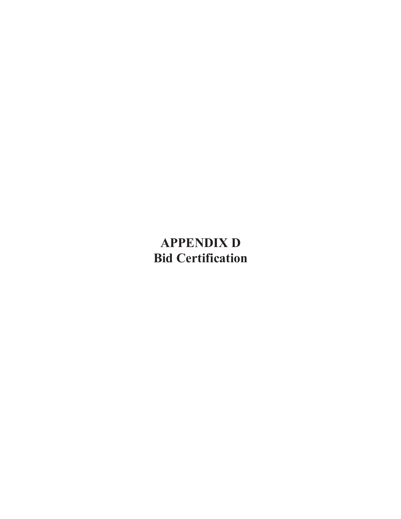## **APPENDIX D Bid Certification**